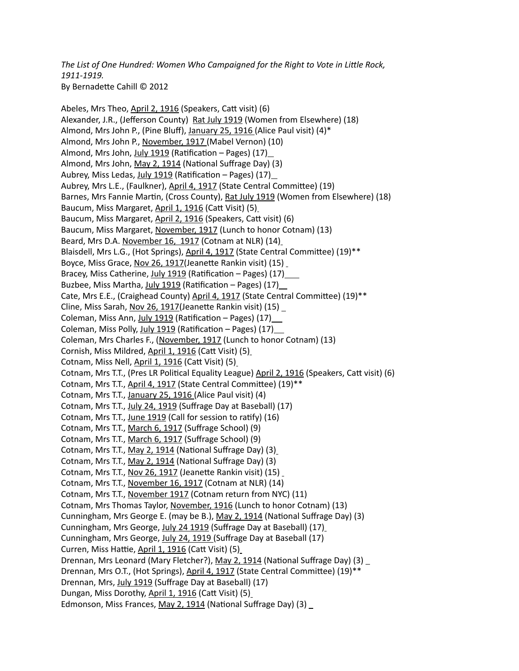*The List of One Hundred: Women Who Campaigned for the Right to Vote in Little Rock, 1911-1919.*  By Bernadette Cahill © 2012

Abeles, Mrs Theo, April 2, 1916 (Speakers, Catt visit) (6) Alexander, J.R., (Jefferson County) Rat July 1919 (Women from Elsewhere) (18) Almond, Mrs John P., (Pine Bluff), January 25, 1916 (Alice Paul visit) (4)\* Almond, Mrs John P., November, 1917 (Mabel Vernon) (10) Almond, Mrs John, July 1919 (Ratification – Pages) (17) Almond, Mrs John, May 2, 1914 (National Suffrage Day) (3) Aubrey, Miss Ledas, July 1919 (Ratification – Pages) (17) Aubrey, Mrs L.E., (Faulkner), April 4, 1917 (State Central Committee) (19) Barnes, Mrs Fannie Martin, (Cross County), Rat July 1919 (Women from Elsewhere) (18) Baucum, Miss Margaret, April 1, 1916 (Catt Visit) (5) Baucum, Miss Margaret, April 2, 1916 (Speakers, Catt visit) (6) Baucum, Miss Margaret, November, 1917 (Lunch to honor Cotnam) (13) Beard, Mrs D.A. November 16, 1917 (Cotnam at NLR) (14) Blaisdell, Mrs L.G., (Hot Springs), April 4, 1917 (State Central Committee) (19)\*\* Boyce, Miss Grace, Nov 26, 1917(Jeanette Rankin visit) (15) Bracey, Miss Catherine, July 1919 (Ratification – Pages) (17) \_\_\_ Buzbee, Miss Martha, July 1919 (Ratification – Pages) (17) Cate, Mrs E.E., (Craighead County) April 4, 1917 (State Central Committee) (19)\*\* Cline, Miss Sarah, Nov 26, 1917(Jeanette Rankin visit) (15) Coleman, Miss Ann, July 1919 (Ratification - Pages) (17) Coleman, Miss Polly, July 1919 (Ratification – Pages) (17) Coleman, Mrs Charles F., (November, 1917 (Lunch to honor Cotnam) (13) Cornish, Miss Mildred, April 1, 1916 (Catt Visit) (5) Cotnam, Miss Nell, April 1, 1916 (Catt Visit) (5) Cotnam, Mrs T.T., (Pres LR Political Equality League) April 2, 1916 (Speakers, Catt visit) (6) Cotnam, Mrs T.T., April 4, 1917 (State Central Committee) (19)\*\* Cotnam, Mrs T.T., January 25, 1916 (Alice Paul visit) (4) Cotnam, Mrs T.T., July 24, 1919 (Suffrage Day at Baseball) (17) Cotnam, Mrs T.T., June 1919 (Call for session to ratify) (16) Cotnam, Mrs T.T., March 6, 1917 (Suffrage School) (9) Cotnam, Mrs T.T., March 6, 1917 (Suffrage School) (9) Cotnam, Mrs T.T., May 2, 1914 (National Suffrage Day) (3) Cotnam, Mrs T.T., May 2, 1914 (National Suffrage Day) (3) Cotnam, Mrs T.T., Nov 26, 1917 (Jeanette Rankin visit) (15) Cotnam, Mrs T.T., November 16, 1917 (Cotnam at NLR) (14) Cotnam, Mrs T.T., November 1917 (Cotnam return from NYC) (11) Cotnam, Mrs Thomas Taylor, November, 1916 (Lunch to honor Cotnam) (13) Cunningham, Mrs George E. (may be B.), May 2, 1914 (National Suffrage Day) (3) Cunningham, Mrs George, July 24 1919 (Suffrage Day at Baseball) (17) Cunningham, Mrs George, July 24, 1919 (Suffrage Day at Baseball (17) Curren, Miss Hattie, April 1, 1916 (Catt Visit) (5) Drennan, Mrs Leonard (Mary Fletcher?), May 2, 1914 (National Suffrage Day) (3) Drennan, Mrs O.T., (Hot Springs), April 4, 1917 (State Central Committee) (19)\*\* Drennan, Mrs, July 1919 (Suffrage Day at Baseball) (17) Dungan, Miss Dorothy, April 1, 1916 (Catt Visit) (5) Edmonson, Miss Frances, May 2, 1914 (National Suffrage Day) (3) \_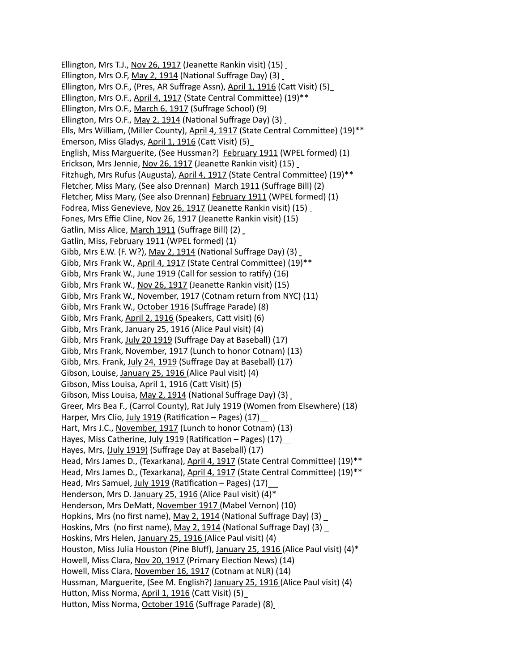Ellington, Mrs T.J., Nov 26, 1917 (Jeanette Rankin visit) (15) Ellington, Mrs O.F, May 2, 1914 (National Suffrage Day) (3) Ellington, Mrs O.F., (Pres, AR Suffrage Assn), April 1, 1916 (Catt Visit) (5) Ellington, Mrs O.F., April 4, 1917 (State Central Committee) (19)\*\* Ellington, Mrs O.F., March 6, 1917 (Suffrage School) (9) Ellington, Mrs O.F., May 2, 1914 (National Suffrage Day) (3) Ells, Mrs William, (Miller County), April 4, 1917 (State Central Committee) (19)\*\* Emerson, Miss Gladys, April 1, 1916 (Catt Visit) (5) English, Miss Marguerite, (See Hussman?) February 1911 (WPEL formed) (1) Erickson, Mrs Jennie, Nov 26, 1917 (Jeanette Rankin visit) (15) Fitzhugh, Mrs Rufus (Augusta), April 4, 1917 (State Central Committee) (19)\*\* Fletcher, Miss Mary, (See also Drennan) March 1911 (Suffrage Bill) (2) Fletcher, Miss Mary, (See also Drennan) February 1911 (WPEL formed) (1) Fodrea, Miss Genevieve, Nov 26, 1917 (Jeanette Rankin visit) (15) Fones, Mrs Effie Cline, Nov 26, 1917 (Jeanette Rankin visit) (15) Gatlin, Miss Alice, March 1911 (Suffrage Bill) (2) Gatlin, Miss, February 1911 (WPEL formed) (1) Gibb, Mrs E.W. (F. W?), May 2, 1914 (National Suffrage Day) (3) Gibb, Mrs Frank W., April 4, 1917 (State Central Committee) (19)\*\* Gibb, Mrs Frank W., June 1919 (Call for session to ratify) (16) Gibb, Mrs Frank W., Nov 26, 1917 (Jeanette Rankin visit) (15) Gibb, Mrs Frank W., November, 1917 (Cotnam return from NYC) (11) Gibb, Mrs Frank W., October 1916 (Suffrage Parade) (8) Gibb, Mrs Frank, April 2, 1916 (Speakers, Catt visit) (6) Gibb, Mrs Frank, January 25, 1916 (Alice Paul visit) (4) Gibb, Mrs Frank, July 20 1919 (Suffrage Day at Baseball) (17) Gibb, Mrs Frank, November, 1917 (Lunch to honor Cotnam) (13) Gibb, Mrs. Frank, July 24, 1919 (Suffrage Day at Baseball) (17) Gibson, Louise, January 25, 1916 (Alice Paul visit) (4) Gibson, Miss Louisa, April 1, 1916 (Catt Visit) (5) Gibson, Miss Louisa, May 2, 1914 (National Suffrage Day) (3) Greer, Mrs Bea F., (Carrol County), Rat July 1919 (Women from Elsewhere) (18) Harper, Mrs Clio, July 1919 (Ratification – Pages) (17) Hart, Mrs J.C., November, 1917 (Lunch to honor Cotnam) (13) Hayes, Miss Catherine, July 1919 (Ratification – Pages) (17) Hayes, Mrs, (July 1919) (Suffrage Day at Baseball) (17) Head, Mrs James D., (Texarkana), April 4, 1917 (State Central Committee) (19)\*\* Head, Mrs James D., (Texarkana), April 4, 1917 (State Central Committee) (19)\*\* Head, Mrs Samuel, July 1919 (Ratification – Pages) (17) Henderson, Mrs D. January 25, 1916 (Alice Paul visit) (4)\* Henderson, Mrs DeMatt, November 1917 (Mabel Vernon) (10) Hopkins, Mrs (no first name), May 2, 1914 (National Suffrage Day) (3) Hoskins, Mrs (no first name), May 2, 1914 (National Suffrage Day) (3) Hoskins, Mrs Helen, January 25, 1916 (Alice Paul visit) (4) Houston, Miss Julia Houston (Pine Bluff), January 25, 1916 (Alice Paul visit) (4)\* Howell, Miss Clara, Nov 20, 1917 (Primary Election News) (14) Howell, Miss Clara, November 16, 1917 (Cotnam at NLR) (14) Hussman, Marguerite, (See M. English?) January 25, 1916 (Alice Paul visit) (4) Hutton, Miss Norma, April 1, 1916 (Catt Visit) (5) Hutton, Miss Norma, October 1916 (Suffrage Parade) (8)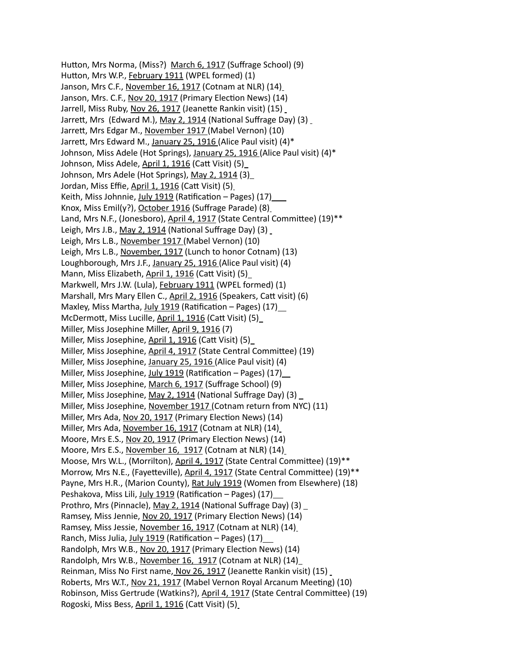Hutton, Mrs Norma, (Miss?) March 6, 1917 (Suffrage School) (9) Hutton, Mrs W.P., February 1911 (WPEL formed) (1) Janson, Mrs C.F., November 16, 1917 (Cotnam at NLR) (14) Janson, Mrs. C.F., Nov 20, 1917 (Primary Election News) (14) Jarrell, Miss Ruby, Nov 26, 1917 (Jeanette Rankin visit) (15) Jarrett, Mrs (Edward M.), May 2, 1914 (National Suffrage Day) (3) Jarrett, Mrs Edgar M., November 1917 (Mabel Vernon) (10) Jarrett, Mrs Edward M., January 25, 1916 (Alice Paul visit) (4)\* Johnson, Miss Adele (Hot Springs), January 25, 1916 (Alice Paul visit) (4)\* Johnson, Miss Adele, April 1, 1916 (Catt Visit) (5) Johnson, Mrs Adele (Hot Springs), May 2, 1914 (3) Jordan, Miss Effie, April 1, 1916 (Catt Visit) (5) Keith, Miss Johnnie, July 1919 (Ratification – Pages) (17) Knox, Miss Emil(y?), October 1916 (Suffrage Parade) (8) Land, Mrs N.F., (Jonesboro), April 4, 1917 (State Central Committee) (19)\*\* Leigh, Mrs J.B., May 2, 1914 (National Suffrage Day) (3) Leigh, Mrs L.B., November 1917 (Mabel Vernon) (10) Leigh, Mrs L.B., November, 1917 (Lunch to honor Cotnam) (13) Loughborough, Mrs J.F., January 25, 1916 (Alice Paul visit) (4) Mann, Miss Elizabeth, April 1, 1916 (Catt Visit) (5) Markwell, Mrs J.W. (Lula), February 1911 (WPEL formed) (1) Marshall, Mrs Mary Ellen C., April 2, 1916 (Speakers, Catt visit) (6) Maxley, Miss Martha, July 1919 (Ratification - Pages) (17) McDermott, Miss Lucille, April 1, 1916 (Catt Visit) (5) Miller, Miss Josephine Miller, April 9, 1916 (7) Miller, Miss Josephine, April 1, 1916 (Catt Visit) (5) Miller, Miss Josephine, April 4, 1917 (State Central Committee) (19) Miller, Miss Josephine, January 25, 1916 (Alice Paul visit) (4) Miller, Miss Josephine, July 1919 (Ratification – Pages) (17) Miller, Miss Josephine, March 6, 1917 (Suffrage School) (9) Miller, Miss Josephine, May 2, 1914 (National Suffrage Day) (3) Miller, Miss Josephine, November 1917 (Cotnam return from NYC) (11) Miller, Mrs Ada, Nov 20, 1917 (Primary Election News) (14) Miller, Mrs Ada, November 16, 1917 (Cotnam at NLR) (14) Moore, Mrs E.S., Nov 20, 1917 (Primary Election News) (14) Moore, Mrs E.S., November 16, 1917 (Cotnam at NLR) (14) Moose, Mrs W.L., (Morrilton), April 4, 1917 (State Central Committee) (19)\*\* Morrow, Mrs N.E., (Fayetteville), April 4, 1917 (State Central Committee) (19)\*\* Payne, Mrs H.R., (Marion County), Rat July 1919 (Women from Elsewhere) (18) Peshakova, Miss Lili, July 1919 (Ratification – Pages) (17) Prothro, Mrs (Pinnacle), May 2, 1914 (National Suffrage Day) (3) \_ Ramsey, Miss Jennie, Nov 20, 1917 (Primary Election News) (14) Ramsey, Miss Jessie, November 16, 1917 (Cotnam at NLR) (14) Ranch, Miss Julia, July 1919 (Ratification – Pages) (17) Randolph, Mrs W.B., Nov 20, 1917 (Primary Election News) (14) Randolph, Mrs W.B., November 16, 1917 (Cotnam at NLR) (14) Reinman, Miss No First name, Nov 26, 1917 (Jeanette Rankin visit) (15) Roberts, Mrs W.T., Nov 21, 1917 (Mabel Vernon Royal Arcanum Meeting) (10) Robinson, Miss Gertrude (Watkins?), April 4, 1917 (State Central Committee) (19) Rogoski, Miss Bess, April 1, 1916 (Catt Visit) (5)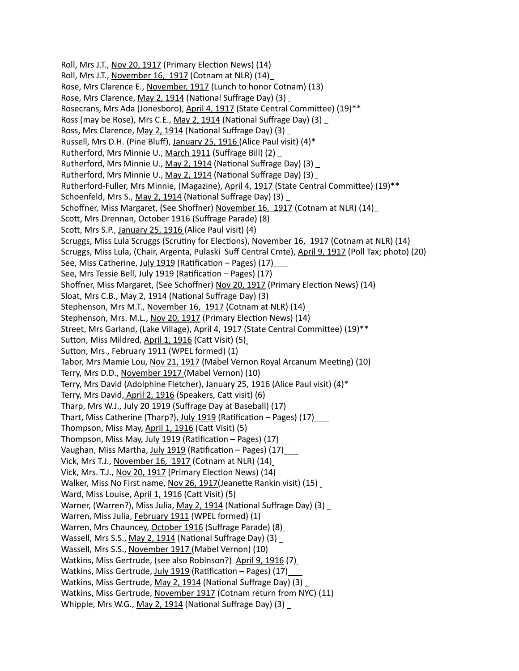Roll, Mrs J.T., Nov 20, 1917 (Primary Election News) (14) Roll, Mrs J.T., November 16, 1917 (Cotnam at NLR) (14) Rose, Mrs Clarence E., November, 1917 (Lunch to honor Cotnam) (13) Rose, Mrs Clarence, May 2, 1914 (National Suffrage Day) (3) Rosecrans, Mrs Ada (Jonesboro), April 4, 1917 (State Central Committee) (19)\*\* Ross (may be Rose), Mrs C.E., May 2, 1914 (National Suffrage Day) (3) \_ Ross, Mrs Clarence, May 2, 1914 (National Suffrage Day) (3) Russell, Mrs D.H. (Pine Bluff), January 25, 1916 (Alice Paul visit) (4)\* Rutherford, Mrs Minnie U., March 1911 (Suffrage Bill) (2) Rutherford, Mrs Minnie U., May 2, 1914 (National Suffrage Day) (3) Rutherford, Mrs Minnie U., May 2, 1914 (National Suffrage Day) (3) Rutherford-Fuller, Mrs Minnie, (Magazine), April 4, 1917 (State Central Committee) (19)\*\* Schoenfeld, Mrs S., May 2, 1914 (National Suffrage Day) (3) Schoffner, Miss Margaret, (See Shoffner) November 16, 1917 (Cotnam at NLR) (14) Scott, Mrs Drennan, October 1916 (Suffrage Parade) (8) Scott, Mrs S.P., January 25, 1916 (Alice Paul visit) (4) Scruggs, Miss Lula Scruggs (Scrutiny for Elections), November 16, 1917 (Cotnam at NLR) (14) Scruggs, Miss Lula, (Chair, Argenta, Pulaski Suff Central Cmte), April 9, 1917 (Poll Tax; photo) (20) See, Miss Catherine, July 1919 (Ratification – Pages) (17) See, Mrs Tessie Bell, July 1919 (Ratification - Pages) (17) Shoffner, Miss Margaret, (See Schoffner) Nov 20, 1917 (Primary Election News) (14) Sloat, Mrs C.B., May 2, 1914 (National Suffrage Day) (3) Stephenson, Mrs M.T., November 16, 1917 (Cotnam at NLR) (14) Stephenson, Mrs. M.L., Nov 20, 1917 (Primary Election News) (14) Street, Mrs Garland, (Lake Village), April 4, 1917 (State Central Committee) (19)\*\* Sutton, Miss Mildred, April 1, 1916 (Catt Visit) (5) Sutton, Mrs., February 1911 (WPEL formed) (1) Tabor, Mrs Mamie Lou, Nov 21, 1917 (Mabel Vernon Royal Arcanum Meeting) (10) Terry, Mrs D.D., November 1917 (Mabel Vernon) (10) Terry, Mrs David (Adolphine Fletcher), January 25, 1916 (Alice Paul visit) (4)\* Terry, Mrs David, April 2, 1916 (Speakers, Catt visit) (6) Tharp, Mrs W.J., July 20 1919 (Suffrage Day at Baseball) (17) Thart, Miss Catherine (Tharp?), July 1919 (Ratification – Pages) (17) Thompson, Miss May, April 1, 1916 (Catt Visit) (5) Thompson, Miss May, July 1919 (Ratification – Pages) (17) Vaughan, Miss Martha, July 1919 (Ratification - Pages) (17) \_\_\_ Vick, Mrs T.J., November 16, 1917 (Cotnam at NLR) (14) Vick, Mrs. T.J., Nov 20, 1917 (Primary Election News) (14) Walker, Miss No First name, Nov 26, 1917 (Jeanette Rankin visit) (15) Ward, Miss Louise, April 1, 1916 (Catt Visit) (5) Warner, (Warren?), Miss Julia, May 2, 1914 (National Suffrage Day) (3) Warren, Miss Julia, February 1911 (WPEL formed) (1) Warren, Mrs Chauncey, October 1916 (Suffrage Parade) (8) Wassell, Mrs S.S., May 2, 1914 (National Suffrage Day) (3) Wassell, Mrs S.S., November 1917 (Mabel Vernon) (10) Watkins, Miss Gertrude, (see also Robinson?) April 9, 1916 (7) Watkins, Miss Gertrude, July 1919 (Ratification – Pages) (17) Watkins, Miss Gertrude, May 2, 1914 (National Suffrage Day) (3) \_ Watkins, Miss Gertrude, November 1917 (Cotnam return from NYC) (11) Whipple, Mrs W.G., May 2, 1914 (National Suffrage Day) (3) \_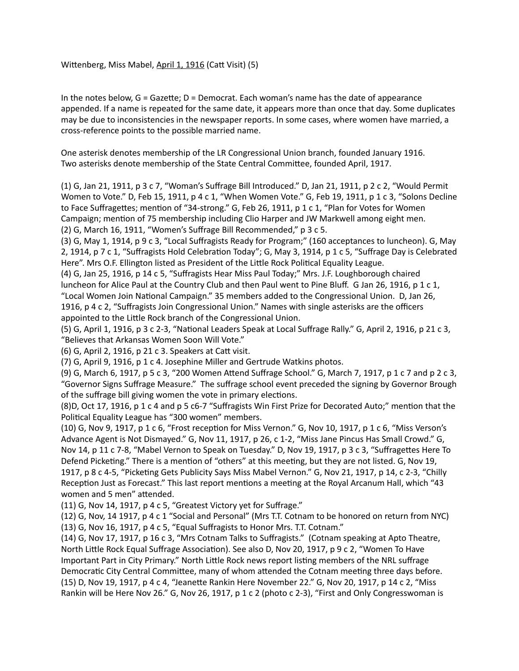Wittenberg, Miss Mabel, April 1, 1916 (Catt Visit) (5)

In the notes below, G = Gazette; D = Democrat. Each woman's name has the date of appearance appended. If a name is repeated for the same date, it appears more than once that day. Some duplicates may be due to inconsistencies in the newspaper reports. In some cases, where women have married, a cross-reference points to the possible married name.

One asterisk denotes membership of the LR Congressional Union branch, founded January 1916. Two asterisks denote membership of the State Central Committee, founded April, 1917.

(1) G, Jan 21, 1911, p 3 c 7, "Woman's Suffrage Bill Introduced." D, Jan 21, 1911, p 2 c 2, "Would Permit Women to Vote." D, Feb 15, 1911, p 4 c 1, "When Women Vote." G, Feb 19, 1911, p 1 c 3, "Solons Decline to Face Suffragettes; mention of "34-strong." G, Feb 26, 1911, p 1 c 1, "Plan for Votes for Women Campaign; mention of 75 membership including Clio Harper and JW Markwell among eight men. (2) G, March 16, 1911, "Women's Suffrage Bill Recommended," p 3 c 5.

(3) G, May 1, 1914, p 9 c 3, "Local Suffragists Ready for Program;" (160 acceptances to luncheon). G, May 2, 1914, p 7 c 1, "Suffragists Hold Celebration Today"; G, May 3, 1914, p 1 c 5, "Suffrage Day is Celebrated Here". Mrs O.F. Ellington listed as President of the Little Rock Political Equality League.

(4) G, Jan 25, 1916, p 14 c 5, "Suffragists Hear Miss Paul Today;" Mrs. J.F. Loughborough chaired luncheon for Alice Paul at the Country Club and then Paul went to Pine Bluff. G Jan 26, 1916, p 1 c 1, "Local Women Join National Campaign." 35 members added to the Congressional Union. D, Jan 26, 1916, p 4 c 2, "Suffragists Join Congressional Union." Names with single asterisks are the officers appointed to the Little Rock branch of the Congressional Union.

(5) G, April 1, 1916, p 3 c 2-3, "National Leaders Speak at Local Suffrage Rally." G, April 2, 1916, p 21 c 3, "Believes that Arkansas Women Soon Will Vote."

(6) G, April 2, 1916, p 21 c 3. Speakers at Catt visit.

(7) G, April 9, 1916, p 1 c 4. Josephine Miller and Gertrude Watkins photos.

(9) G, March 6, 1917, p 5 c 3, "200 Women Attend Suffrage School." G, March 7, 1917, p 1 c 7 and p 2 c 3, "Governor Signs Suffrage Measure." The suffrage school event preceded the signing by Governor Brough of the suffrage bill giving women the vote in primary elections.

(8)D, Oct 17, 1916, p 1 c 4 and p 5 c6-7 "Suffragists Win First Prize for Decorated Auto;" mention that the Political Equality League has "300 women" members.

(10) G, Nov 9, 1917, p 1 c 6, "Frost reception for Miss Vernon." G, Nov 10, 1917, p 1 c 6, "Miss Verson's Advance Agent is Not Dismayed." G, Nov 11, 1917, p 26, c 1-2, "Miss Jane Pincus Has Small Crowd." G, Nov 14, p 11 c 7-8, "Mabel Vernon to Speak on Tuesday." D, Nov 19, 1917, p 3 c 3, "Suffragettes Here To Defend Picketing." There is a mention of "others" at this meeting, but they are not listed. G, Nov 19, 1917, p 8 c 4-5, "Picketing Gets Publicity Says Miss Mabel Vernon." G, Nov 21, 1917, p 14, c 2-3, "Chilly Reception Just as Forecast." This last report mentions a meeting at the Royal Arcanum Hall, which "43 women and 5 men" attended.

(11) G, Nov 14, 1917, p 4 c 5, "Greatest Victory yet for Suffrage."

(12) G, Nov, 14 1917, p 4 c 1 "Social and Personal" (Mrs T.T. Cotnam to be honored on return from NYC) (13) G, Nov 16, 1917, p 4 c 5, "Equal Suffragists to Honor Mrs. T.T. Cotnam."

(14) G, Nov 17, 1917, p 16 c 3, "Mrs Cotnam Talks to Suffragists." (Cotnam speaking at Apto Theatre, North Little Rock Equal Suffrage Association). See also D, Nov 20, 1917, p 9 c 2, "Women To Have Important Part in City Primary." North Little Rock news report listing members of the NRL suffrage Democratic City Central Committee, many of whom attended the Cotnam meeting three days before. (15) D, Nov 19, 1917, p 4 c 4, "Jeanette Rankin Here November 22." G, Nov 20, 1917, p 14 c 2, "Miss Rankin will be Here Nov 26." G, Nov 26, 1917, p 1 c 2 (photo c 2-3), "First and Only Congresswoman is